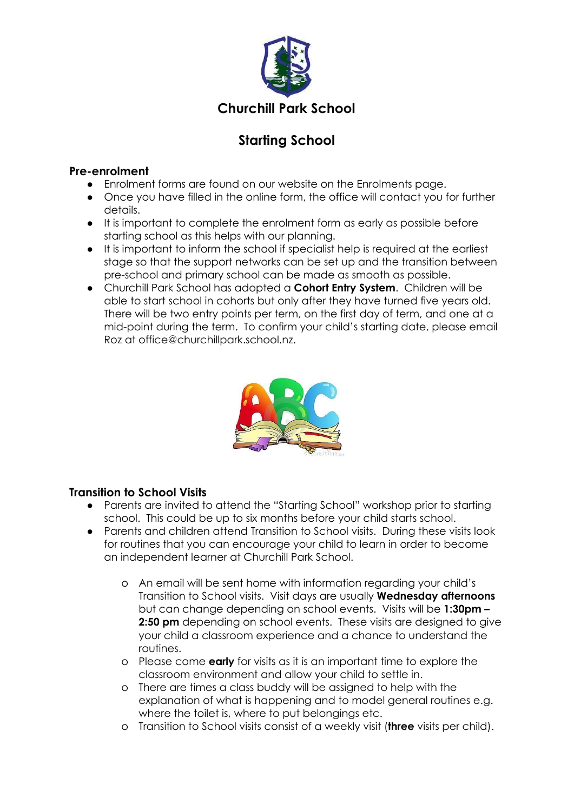

# **Starting School**

#### **Pre-enrolment**

- Enrolment forms are found on our website on the Enrolments page.
- Once you have filled in the online form, the office will contact you for further details.
- It is important to complete the enrolment form as early as possible before starting school as this helps with our planning.
- It is important to inform the school if specialist help is required at the earliest stage so that the support networks can be set up and the transition between pre-school and primary school can be made as smooth as possible.
- Churchill Park School has adopted a **Cohort Entry System**. Children will be able to start school in cohorts but only after they have turned five years old. There will be two entry points per term, on the first day of term, and one at a mid-point during the term. To confirm your child's starting date, please email Roz at office@churchillpark.school.nz.



## **Transition to School Visits**

- Parents are invited to attend the "Starting School" workshop prior to starting school. This could be up to six months before your child starts school.
- Parents and children attend Transition to School visits. During these visits look for routines that you can encourage your child to learn in order to become an independent learner at Churchill Park School.
	- o An email will be sent home with information regarding your child's Transition to School visits. Visit days are usually **Wednesday afternoons** but can change depending on school events. Visits will be **1:30pm – 2:50 pm** depending on school events. These visits are designed to give your child a classroom experience and a chance to understand the routines.
	- o Please come **early** for visits as it is an important time to explore the classroom environment and allow your child to settle in.
	- o There are times a class buddy will be assigned to help with the explanation of what is happening and to model general routines e.g. where the toilet is, where to put belongings etc.
	- o Transition to School visits consist of a weekly visit (**three** visits per child).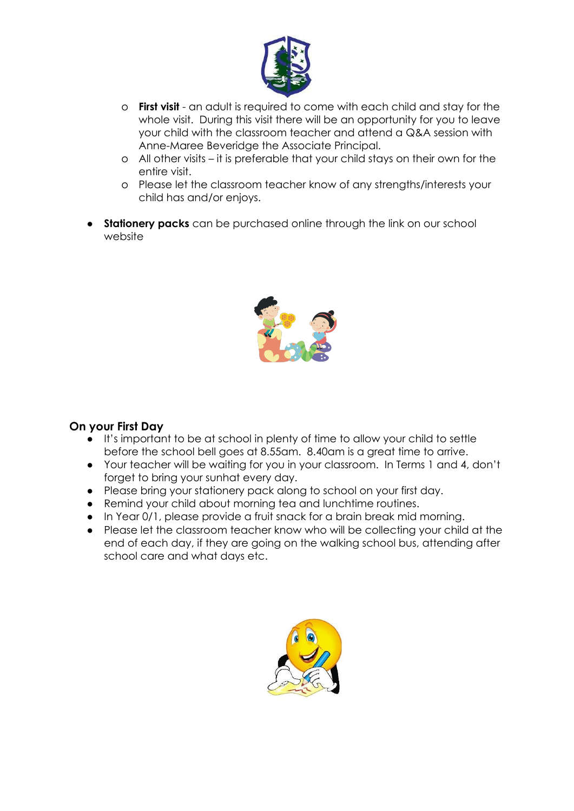

- o **First visit** an adult is required to come with each child and stay for the whole visit. During this visit there will be an opportunity for you to leave your child with the classroom teacher and attend a Q&A session with Anne-Maree Beveridge the Associate Principal.
- o All other visits it is preferable that your child stays on their own for the entire visit.
- o Please let the classroom teacher know of any strengths/interests your child has and/or enjoys.
- **Stationery packs** can be purchased online through the link on our school website



#### **On your First Day**

- It's important to be at school in plenty of time to allow your child to settle before the school bell goes at 8.55am. 8.40am is a great time to arrive.
- Your teacher will be waiting for you in your classroom. In Terms 1 and 4, don't forget to bring your sunhat every day.
- Please bring your stationery pack along to school on your first day.
- Remind your child about morning tea and lunchtime routines.
- In Year 0/1, please provide a fruit snack for a brain break mid morning.
- Please let the classroom teacher know who will be collecting your child at the end of each day, if they are going on the walking school bus, attending after school care and what days etc.

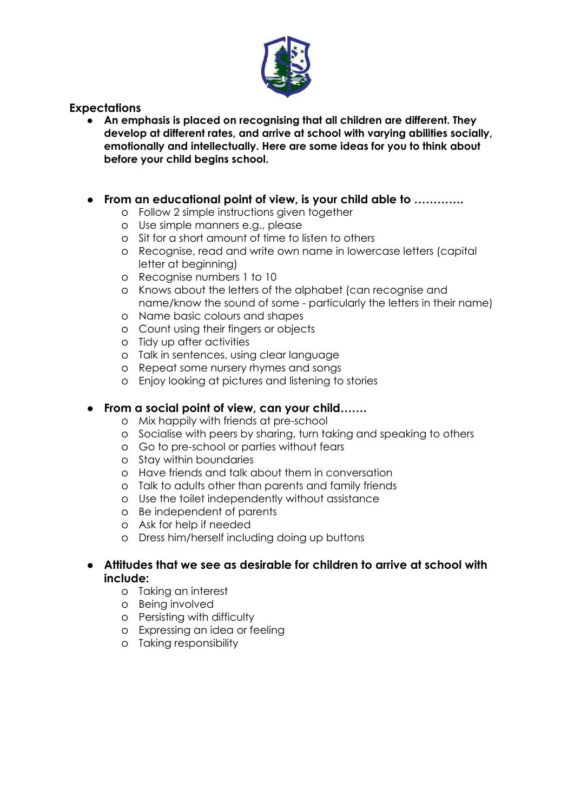

#### **Expectations**

**● An emphasis is placed on recognising that all children are different. They develop at different rates, and arrive at school with varying abilities socially, emotionally and intellectually. Here are some ideas for you to think about before your child begins school.**

#### **● From an educational point of view, is your child able to ………….**

- o Follow 2 simple instructions given together
- o Use simple manners e.g., please
- o Sit for a short amount of time to listen to others
- o Recognise, read and write own name in lowercase letters (capital letter at beginning)
- o Recognise numbers 1 to 10
- o Knows about the letters of the alphabet (can recognise and name/know the sound of some - particularly the letters in their name)
- o Name basic colours and shapes
- o Count using their fingers or objects
- o Tidy up after activities
- o Talk in sentences, using clear language
- o Repeat some nursery rhymes and songs
- o Enjoy looking at pictures and listening to stories

## **● From a social point of view, can your child…….**

- o Mix happily with friends at pre-school
- o Socialise with peers by sharing, turn taking and speaking to others
- o Go to pre-school or parties without fears
- o Stay within boundaries
- o Have friends and talk about them in conversation
- o Talk to adults other than parents and family friends
- o Use the toilet independently without assistance
- o Be independent of parents
- o Ask for help if needed
- o Dress him/herself including doing up buttons

#### ● **Attitudes that we see as desirable for children to arrive at school with include:**

- o Taking an interest
- o Being involved
- o Persisting with difficulty
- o Expressing an idea or feeling
- o Taking responsibility